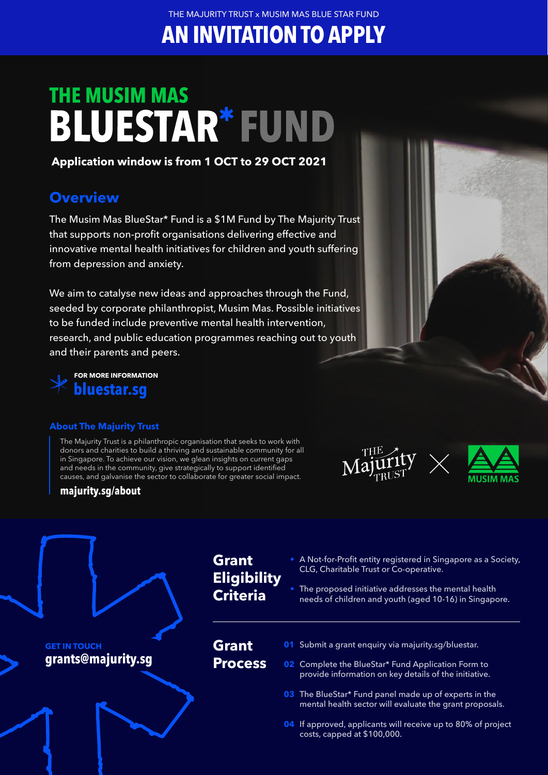THE MAJURITY TRUST x MUSIM MAS BLUE STAR FUND

**AN INVITATION TO APPLY**

# **THE MUSIM MAS BLUESTAR\*FUND**

#### **Application window is from 1 OCT to 29 OCT 2021**

### **Overview**

The Musim Mas BlueStar\* Fund is a \$1M Fund by The Majurity Trust that supports non-profit organisations delivering effective and innovative mental health initiatives for children and youth suffering from depression and anxiety.

We aim to catalyse new ideas and approaches through the Fund, seeded by corporate philanthropist, Musim Mas. Possible initiatives to be funded include preventive mental health intervention, research, and public education programmes reaching out to youth and their parents and peers.



#### **About The Majurity Trust**

**majurity.sg/about**

The Majurity Trust is a philanthropic organisation that seeks to work with donors and charities to build a thriving and sustainable community for all in Singapore. To achieve our vision, we glean insights on current gaps and needs in the community, give strategically to support identified causes, and galvanise the sector to collaborate for greater social impact.





#### **Grant Eligibility Criteria** A Not-for-Profit entity registered in Singapore as a Society, CLG, Charitable Trust or Co-operative. The proposed initiative addresses the mental health needs of children and youth (aged 10-16) in Singapore. **Grant Process 01** Submit a grant enquiry via majurity.sg/bluestar. **02** Complete the BlueStar\* Fund Application Form to provide information on key details of the initiative. The BlueStar\* Fund panel made up of experts in the **03** mental health sector will evaluate the grant proposals. **04** If approved, applicants will receive up to 80% of project costs, capped at \$100,000. **GET IN TOUCH grants@majurity.sg**